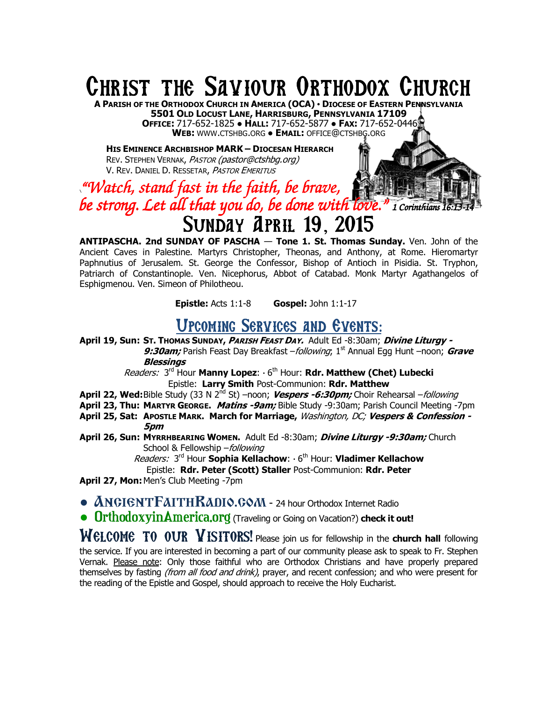# CHRIST THE SAVIOUR ORTHODOX CHURCH

**A PARISH OF THE ORTHODOX CHURCH IN AMERICA (OCA) · DIOCESE OF EASTERN PENNSYLVANIA 5501 OLD LOCUST LANE, HARRISBURG, PENNSYLVANIA 17109 OFFICE:** 717-652-1825 **● HALL:** 717-652-5877 **● FAX:** 717-652-0446 **WEB:** WWW.CTSHBG.ORG **● EMAIL:** OFFICE@CTSHBG.ORG

**HIS EMINENCE ARCHBISHOP MARK – DIOCESAN HIERARCH** REV. STEPHEN VERNAK, PASTOR (pastor@ctshbg.org) V. REV. DANIEL D. RESSETAR, PASTOR EMERITUS

## **\**"Watch, stand fast in the faith, be brave, stand fast be he be strong. Let all that you do, be done with love."  $\it i$  corinthians 16:13-14 SUNDAY APRIL 19, 2015

**ANTIPASCHA. 2nd SUNDAY OF PASCHA** — **Tone 1. St. Thomas Sunday.** Ven. John of the Ancient Caves in Palestine. Martyrs Christopher, Theonas, and Anthony, at Rome. Hieromartyr Paphnutius of Jerusalem. St. George the Confessor, Bishop of Antioch in Pisidia. St. Tryphon, Patriarch of Constantinople. Ven. Nicephorus, Abbot of Catabad. Monk Martyr Agathangelos of Esphigmenou. Ven. Simeon of Philotheou.

**Epistle:** Acts 1:1-8 **Gospel:** John 1:1-17

### UPCOMING SERVICES AND EVENTS:

**April 19, Sun: ST. THOMAS SUNDAY, PARISH FEAST DAY.** Adult Ed -8:30am; **Divine Liturgy - 9:30am;** Parish Feast Day Breakfast – *following*; 1<sup>st</sup> Annual Egg Hunt –noon; *Grave* **Blessings** 

Readers: 3<sup>rd</sup> Hour Manny Lopez:  $\cdot$  6<sup>th</sup> Hour: Rdr. Matthew (Chet) Lubecki Epistle: **Larry Smith** Post-Communion: **Rdr. Matthew** 

**April 22, Wed:** Bible Study (33 N 2<sup>nd</sup> St) –noon; *Vespers -6:30pm;* Choir Rehearsal – *following* 

**April 23, Thu: MARTYR GEORGE. Matins -9am;** Bible Study -9:30am; Parish Council Meeting -7pm

**April 25, Sat: APOSTLE MARK. March for Marriage,** Washington, DC; **Vespers & Confession - 5pm** 

**April 26, Sun: MYRRHBEARING WOMEN.** Adult Ed -8:30am; **Divine Liturgy -9:30am;** Church School & Fellowship - following

Readers: 3<sup>rd</sup> Hour **Sophia Kellachow**:  $\cdot$  6<sup>th</sup> Hour: **Vladimer Kellachow** 

Epistle: **Rdr. Peter (Scott) Staller** Post-Communion: **Rdr. Peter** 

**April 27, Mon:** Men's Club Meeting -7pm

**● ANCIENTFAITHRADIO.COM** - 24 hour Orthodox Internet Radio

**● OrthodoxyinAmerica.org** (Traveling or Going on Vacation?) **check it out!** 

WELCOME TO OUR VISITORS! Please join us for fellowship in the **church hall** following the service. If you are interested in becoming a part of our community please ask to speak to Fr. Stephen Vernak. Please note: Only those faithful who are Orthodox Christians and have properly prepared themselves by fasting *(from all food and drink)*, prayer, and recent confession; and who were present for the reading of the Epistle and Gospel, should approach to receive the Holy Eucharist.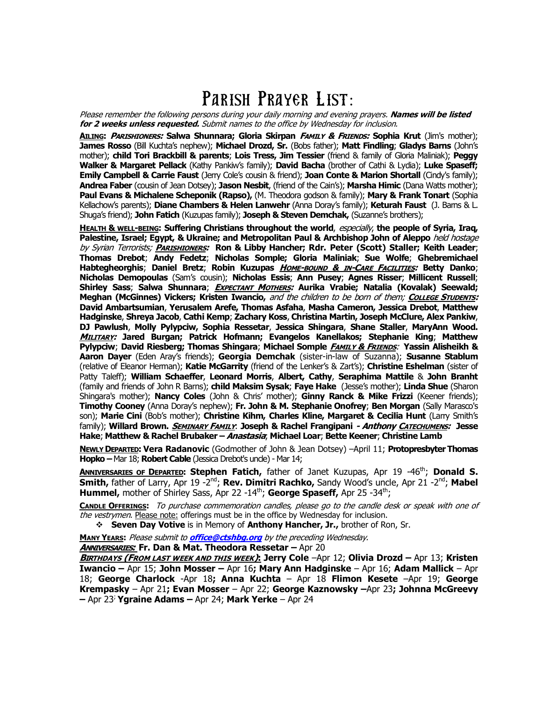# PARISH PRAYER LIST:

Please remember the following persons during your daily morning and evening prayers. **Names will be listed for 2 weeks unless requested.** Submit names to the office by Wednesday for inclusion.

**AILING: PARISHIONERS: Salwa Shunnara; Gloria Skirpan FAMILY & FRIENDS: Sophia Krut** (Jim's mother); **James Rosso** (Bill Kuchta's nephew); **Michael Drozd, Sr.** (Bobs father); **Matt Findling**; **Gladys Barns** (John's mother); **child Tori Brackbill & parents**; **Lois Tress, Jim Tessier** (friend & family of Gloria Maliniak); **Peggy Walker & Margaret Pellack** (Kathy Pankiw's family); **David Bacha** (brother of Cathi & Lydia); **Luke Spaseff; Emily Campbell & Carrie Faust** (Jerry Cole's cousin & friend); **Joan Conte & Marion Shortall** (Cindy's family); **Andrea Faber** (cousin of Jean Dotsey); **Jason Nesbit**, (friend of the Cain's); **Marsha Himic** (Dana Watts mother); **Paul Evans & Michalene Scheponik (Rapso),** (M. Theodora godson & family); **Mary & Frank Tonart** (Sophia Kellachow's parents); **Diane Chambers & Helen Lanwehr** (Anna Doray's family); **Keturah Faust** (J. Barns & L. Shuga's friend); **John Fatich** (Kuzupas family); **Joseph & Steven Demchak,** (Suzanne's brothers);

**HEALTH & WELL-BEING: Suffering Christians throughout the world**, especially, **the people of Syria, Iraq, Palestine, Israel; Egypt, & Ukraine; and Metropolitan Paul & Archbishop John of Aleppo** held hostage by Syrian Terrorists; **PARISHIONERS: Ron & Libby Hancher; Rdr. Peter (Scott) Staller; Keith Leader**; **Thomas Drebot**; **Andy Fedetz**; **Nicholas Somple; Gloria Maliniak**; **Sue Wolfe**; **Ghebremichael Habtegheorghis**; **Daniel Bretz**; **Robin Kuzupas HOME-BOUND & IN-CARE FACILITIES: Betty Danko**; **Nicholas Demopoulas** (Sam's cousin); **Nicholas Essis**; **Ann Pusey**; **Agnes Risser**; **Millicent Russell**; **Shirley Sass**; **Salwa Shunnara**; **EXPECTANT MOTHERS: Aurika Vrabie; Natalia (Kovalak) Seewald; Meghan (McGinnes) Vickers; Kristen Iwancio,** and the children to be born of them; **COLLEGE STUDENTS: David Ambartsumian**, **Yerusalem Arefe, Thomas Asfaha**, **Masha Cameron, Jessica Drebot**, **Matthew Hadginske**, **Shreya Jacob**, **Cathi Kemp**; **Zachary Koss**, **Christina Martin, Joseph McClure, Alex Pankiw**, **DJ Pawlush**, **Molly Pylypciw, Sophia Ressetar**, **Jessica Shingara**, **Shane Staller**, **MaryAnn Wood. MILITARY: Jared Burgan; Patrick Hofmann; Evangelos Kanellakos; Stephanie King**; **Matthew Pylypciw**; **David Riesberg; Thomas Shingara**; **Michael Somple FAMILY & FRIENDS**: **Yassin Alisheikh & Aaron Dayer** (Eden Aray's friends); **Georgia Demchak** (sister-in-law of Suzanna); **Susanne Stablum**  (relative of Eleanor Herman); **Katie McGarrity** (friend of the Lenker's & Zart's); **Christine Eshelman** (sister of Patty Taleff); **William Schaeffer**, **Leonard Morris**, **Albert, Cathy**, **Seraphima Mattile** & **John Branht** (family and friends of John R Barns); **child Maksim Sysak**; **Faye Hake** (Jesse's mother); **Linda Shue** (Sharon Shingara's mother); **Nancy Coles** (John & Chris' mother); **Ginny Ranck & Mike Frizzi** (Keener friends); **Timothy Cooney** (Anna Doray's nephew); **Fr. John & M. Stephanie Onofrey**; **Ben Morgan** (Sally Marasco's son); **Marie Cini** (Bob's mother); **Christine Kihm, Charles Kline, Margaret & Cecilia Hunt** (Larry Smith's family); **Willard Brown. SEMINARY FAMILY**: **Joseph & Rachel Frangipani - Anthony CATECHUMENS: Jesse Hake**; **Matthew & Rachel Brubaker – Anastasia**; **Michael Loar**; **Bette Keener**; **Christine Lamb**

**NEWLY DEPARTED: Vera Radanovic** (Godmother of John & Jean Dotsey) –April 11; **Protopresbyter Thomas Hopko –** Mar 18; **Robert Cable** (Jessica Drebot's uncle) - Mar 14;

**ANNIVERSARIES OF DEPARTED: Stephen Fatich,** father of Janet Kuzupas, Apr 19 -46th; **Donald S. Smith,** father of Larry, Apr 19 -2<sup>nd</sup>; **Rev. Dimitri Rachko,** Sandy Wood's uncle, Apr 21 -2<sup>nd</sup>; Mabel **Hummel,** mother of Shirley Sass, Apr 22 -14<sup>th</sup>; **George Spaseff**, Apr 25 -34<sup>th</sup>;

**CANDLE OFFERINGS:** To purchase commemoration candles, please go to the candle desk or speak with one of the vestrymen. Please note: offerings must be in the office by Wednesday for inclusion.

**Seven Day Votive** is in Memory of **Anthony Hancher, Jr.,** brother of Ron, Sr.

**MANY YEARS:** Please submit to **office@ctshbg.org** by the preceding Wednesday.

**ANNIVERSARIES: Fr. Dan & Mat. Theodora Ressetar –** Apr 20

**BIRTHDAYS (FROM LAST WEEK AND THIS WEEK): Jerry Cole** –Apr 12; **Olivia Drozd –** Apr 13; **Kristen Iwancio –** Apr 15; **John Mosser –** Apr 16**; Mary Ann Hadginske** – Apr 16; **Adam Mallick** – Apr 18; **George Charlock** -Apr 18**; Anna Kuchta** – Apr 18 **Flimon Kesete** –Apr 19; **George Krempasky** – Apr 21**; Evan Mosser** – Apr 22; **George Kaznowsky –**Apr 23**; Johnna McGreevy –** Apr 23; **Ygraine Adams –** Apr 24; **Mark Yerke** – Apr 24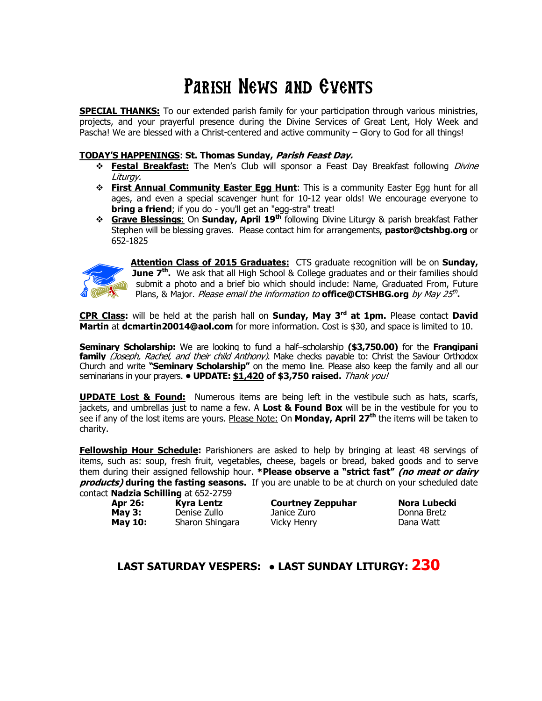# PARISH NEWS AND EVENTS

**SPECIAL THANKS:** To our extended parish family for your participation through various ministries, projects, and your prayerful presence during the Divine Services of Great Lent, Holy Week and Pascha! We are blessed with a Christ-centered and active community – Glory to God for all things!

#### **TODAY'S HAPPENINGS**: **St. Thomas Sunday, Parish Feast Day.**

- **\* Festal Breakfast:** The Men's Club will sponsor a Feast Day Breakfast following *Divine* Liturgy.
- **First Annual Community Easter Egg Hunt:** This is a community Easter Egg hunt for all ages, and even a special scavenger hunt for 10-12 year olds! We encourage everyone to **bring a friend**; if you do - you'll get an "egg-stra" treat!
- **Grave Blessings**: On **Sunday, April 19th** following Divine Liturgy & parish breakfast Father Stephen will be blessing graves. Please contact him for arrangements, **pastor@ctshbg.org** or 652-1825



**Attention Class of 2015 Graduates:** CTS graduate recognition will be on **Sunday, June 7<sup>th</sup>.** We ask that all High School & College graduates and or their families should submit a photo and a brief bio which should include: Name, Graduated From, Future Plans, & Major. *Please email the information to* **office@CTSHBG.org** by May 25<sup>th</sup>.

**CPR Class:** will be held at the parish hall on **Sunday, May 3rd at 1pm.** Please contact **David Martin** at **dcmartin20014@aol.com** for more information. Cost is \$30, and space is limited to 10.

**Seminary Scholarship:** We are looking to fund a half–scholarship **(\$3,750.00)** for the **Frangipani family** (Joseph, Rachel, and their child Anthony). Make checks payable to: Christ the Saviour Orthodox Church and write **"Seminary Scholarship"** on the memo line. Please also keep the family and all our seminarians in your prayers. **• UPDATE: \$1,420 of \$3,750 raised.** Thank you!

**UPDATE Lost & Found:** Numerous items are being left in the vestibule such as hats, scarfs, jackets, and umbrellas just to name a few. A **Lost & Found Box** will be in the vestibule for you to see if any of the lost items are yours. Please Note: On **Monday, April 27th** the items will be taken to charity.

**Fellowship Hour Schedule:** Parishioners are asked to help by bringing at least 48 servings of items, such as: soup, fresh fruit, vegetables, cheese, bagels or bread, baked goods and to serve them during their assigned fellowship hour. **\*Please observe a "strict fast" (no meat or dairy products) during the fasting seasons.** If you are unable to be at church on your scheduled date contact **Nadzia Schilling** at 652-2759

| . <b>Nauzia Schimily</b> at 032-2733 |                   |
|--------------------------------------|-------------------|
| Apr 26:                              | <b>Kyra Lentz</b> |
| May $3:$                             | Denise Zullo      |
| <b>May 10:</b>                       | Sharon Shingara   |

| <b>Courtney Zeppuhar</b> |
|--------------------------|
| Janice Zuro              |
| <b>Vicky Henry</b>       |

**Nora Lubecki** Donna Bretz Dana Watt

#### **LAST SATURDAY VESPERS: ● LAST SUNDAY LITURGY: 230**